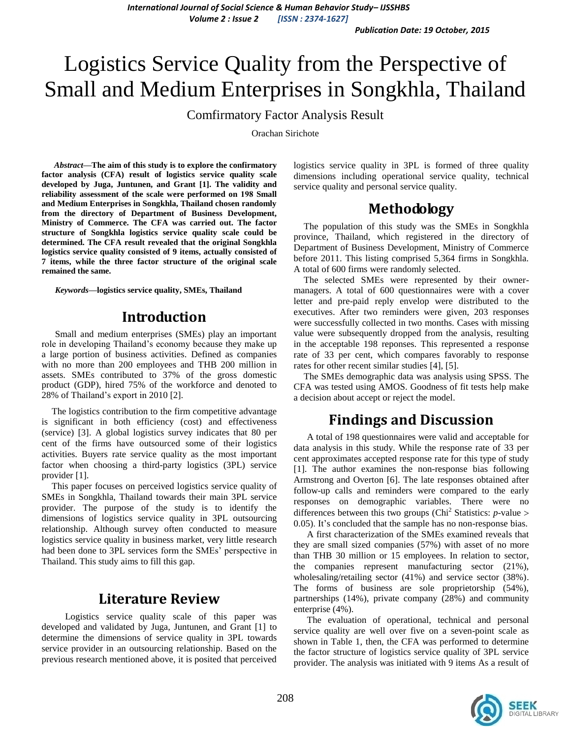*International Journal of Social Science & Human Behavior Study– IJSSHBS Volume 2 : Issue 2 [ISSN : 2374-1627]*

# Logistics Service Quality from the Perspective of Small and Medium Enterprises in Songkhla, Thailand

Comfirmatory Factor Analysis Result

Orachan Sirichote

*Abstract***—The aim of this study is to explore the confirmatory factor analysis (CFA) result of logistics service quality scale developed by Juga, Juntunen, and Grant [1]. The validity and reliability assessment of the scale were performed on 198 Small and Medium Enterprises in Songkhla, Thailand chosen randomly from the directory of Department of Business Development, Ministry of Commerce. The CFA was carried out. The factor structure of Songkhla logistics service quality scale could be determined. The CFA result revealed that the original Songkhla logistics service quality consisted of 9 items, actually consisted of 7 items, while the three factor structure of the original scale remained the same.**

*Keywords—***logistics service quality, SMEs, Thailand**

#### **Introduction**

Small and medium enterprises (SMEs) play an important role in developing Thailand's economy because they make up a large portion of business activities. Defined as companies with no more than 200 employees and THB 200 million in assets. SMEs contributed to 37% of the gross domestic product (GDP), hired 75% of the workforce and denoted to 28% of Thailand's export in 2010 [2].

The logistics contribution to the firm competitive advantage is significant in both efficiency (cost) and effectiveness (service) [3]. A global logistics survey indicates that 80 per cent of the firms have outsourced some of their logistics activities. Buyers rate service quality as the most important factor when choosing a third-party logistics (3PL) service provider [1].

This paper focuses on perceived logistics service quality of SMEs in Songkhla, Thailand towards their main 3PL service provider. The purpose of the study is to identify the dimensions of logistics service quality in 3PL outsourcing relationship. Although survey often conducted to measure logistics service quality in business market, very little research had been done to 3PL services form the SMEs' perspective in Thailand. This study aims to fill this gap.

### **Literature Review**

Logistics service quality scale of this paper was developed and validated by Juga, Juntunen, and Grant [1] to determine the dimensions of service quality in 3PL towards service provider in an outsourcing relationship. Based on the previous research mentioned above, it is posited that perceived logistics service quality in 3PL is formed of three quality dimensions including operational service quality, technical service quality and personal service quality.

### **Methodology**

The population of this study was the SMEs in Songkhla province, Thailand, which registered in the directory of Department of Business Development, Ministry of Commerce before 2011. This listing comprised 5,364 firms in Songkhla. A total of 600 firms were randomly selected.

The selected SMEs were represented by their ownermanagers. A total of 600 questionnaires were with a cover letter and pre-paid reply envelop were distributed to the executives. After two reminders were given, 203 responses were successfully collected in two months. Cases with missing value were subsequently dropped from the analysis, resulting in the acceptable 198 reponses. This represented a response rate of 33 per cent, which compares favorably to response rates for other recent similar studies [4], [5].

The SMEs demographic data was analysis using SPSS. The CFA was tested using AMOS. Goodness of fit tests help make a decision about accept or reject the model.

## **Findings and Discussion**

A total of 198 questionnaires were valid and acceptable for data analysis in this study. While the response rate of 33 per cent approximates accepted response rate for this type of study [1]. The author examines the non-response bias following Armstrong and Overton [6]. The late responses obtained after follow-up calls and reminders were compared to the early responses on demographic variables. There were no differences between this two groups (Chi<sup>2</sup> Statistics: *p*-value > 0.05). It's concluded that the sample has no non-response bias.

A first characterization of the SMEs examined reveals that they are small sized companies (57%) with asset of no more than THB 30 million or 15 employees. In relation to sector, the companies represent manufacturing sector (21%), wholesaling/retailing sector (41%) and service sector (38%). The forms of business are sole proprietorship (54%), partnerships (14%), private company (28%) and community enterprise (4%).

The evaluation of operational, technical and personal service quality are well over five on a seven-point scale as shown in Table 1, then, the CFA was performed to determine the factor structure of logistics service quality of 3PL service provider. The analysis was initiated with 9 items As a result of

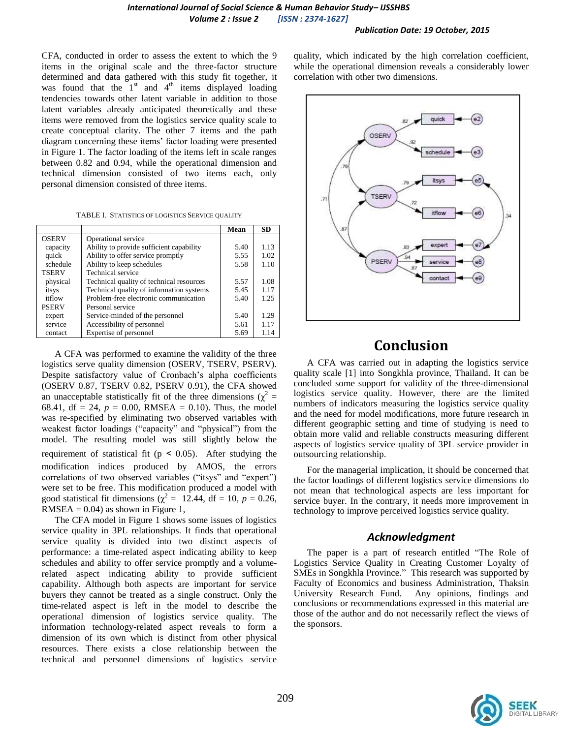CFA, conducted in order to assess the extent to which the 9 items in the original scale and the three-factor structure determined and data gathered with this study fit together, it was found that the  $1<sup>st</sup>$  and  $4<sup>th</sup>$  items displayed loading tendencies towards other latent variable in addition to those latent variables already anticipated theoretically and these items were removed from the logistics service quality scale to create conceptual clarity. The other 7 items and the path diagram concerning these items' factor loading were presented in Figure 1. The factor loading of the items left in scale ranges between 0.82 and 0.94, while the operational dimension and technical dimension consisted of two items each, only personal dimension consisted of three items.

|  |  | TABLE I. STATISTICS OF LOGISTICS SERVICE QUALITY |  |  |
|--|--|--------------------------------------------------|--|--|
|--|--|--------------------------------------------------|--|--|

|              |                                          | Mean | <b>SD</b> |
|--------------|------------------------------------------|------|-----------|
| <b>OSERV</b> | Operational service                      |      |           |
| capacity     | Ability to provide sufficient capability | 5.40 | 1.13      |
| quick        | Ability to offer service promptly        | 5.55 | 1.02      |
| schedule     | Ability to keep schedules                | 5.58 | 1.10      |
| <b>TSERV</b> | Technical service                        |      |           |
| physical     | Technical quality of technical resources | 5.57 | 1.08      |
| itsys        | Technical quality of information systems | 5.45 | 1.17      |
| itflow       | Problem-free electronic communication    | 5.40 | 1.25      |
| <b>PSERV</b> | Personal service                         |      |           |
| expert       | Service-minded of the personnel          | 5.40 | 1.29      |
| service      | Accessibility of personnel               | 5.61 | 1.17      |
| contact      | Expertise of personnel                   | 5.69 | 1.14      |

A CFA was performed to examine the validity of the three logistics serve quality dimension (OSERV, TSERV, PSERV). Despite satisfactory value of Cronbach's alpha coefficients (OSERV 0.87, TSERV 0.82, PSERV 0.91), the CFA showed an unacceptable statistically fit of the three dimensions ( $\chi^2$  = 68.41, df = 24,  $p = 0.00$ , RMSEA = 0.10). Thus, the model was re-specified by eliminating two observed variables with weakest factor loadings ("capacity" and "physical") from the model. The resulting model was still slightly below the requirement of statistical fit ( $p \leq 0.05$ ). After studying the modification indices produced by AMOS, the errors correlations of two observed variables ("itsys" and "expert") were set to be free. This modification produced a model with good statistical fit dimensions ( $\chi^2 = 12.44$ , df = 10, p = 0.26, RMSEA =  $0.04$ ) as shown in Figure 1,

The CFA model in Figure 1 shows some issues of logistics service quality in 3PL relationships. It finds that operational service quality is divided into two distinct aspects of performance: a time-related aspect indicating ability to keep schedules and ability to offer service promptly and a volumerelated aspect indicating ability to provide sufficient capability. Although both aspects are important for service buyers they cannot be treated as a single construct. Only the time-related aspect is left in the model to describe the operational dimension of logistics service quality. The information technology-related aspect reveals to form a dimension of its own which is distinct from other physical resources. There exists a close relationship between the technical and personnel dimensions of logistics service quality, which indicated by the high correlation coefficient, while the operational dimension reveals a considerably lower correlation with other two dimensions.



# **Conclusion**

A CFA was carried out in adapting the logistics service quality scale [1] into Songkhla province, Thailand. It can be concluded some support for validity of the three-dimensional logistics service quality. However, there are the limited numbers of indicators measuring the logistics service quality and the need for model modifications, more future research in different geographic setting and time of studying is need to obtain more valid and reliable constructs measuring different aspects of logistics service quality of 3PL service provider in outsourcing relationship.

For the managerial implication, it should be concerned that the factor loadings of different logistics service dimensions do not mean that technological aspects are less important for service buyer. In the contrary, it needs more improvement in technology to improve perceived logistics service quality.

#### *Acknowledgment*

The paper is a part of research entitled "The Role of Logistics Service Quality in Creating Customer Loyalty of SMEs in Songkhla Province." This research was supported by Faculty of Economics and business Administration, Thaksin University Research Fund. Any opinions, findings and conclusions or recommendations expressed in this material are those of the author and do not necessarily reflect the views of the sponsors.